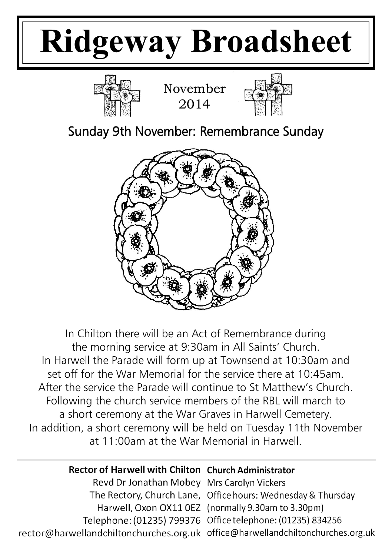# **Ridgeway Broadsheet**



November 2014



Sunday 9th November: Remembrance Sunday



In Chilton there will be an Act of Remembrance during the morning service at 9:30am in All Saints' Church. In Harwell the Parade will form up at Townsend at 10:30am and set off for the War Memorial for the service there at 10:45am. After the service the Parade will continue to St Matthew's Church. Following the church service members of the RBL will march to a short ceremony at the War Graves in Harwell Cemetery. In addition, a short ceremony will be held on Tuesday 11th November at 11:00am at the War Memorial in Harwell.

# Rector of Harwell with Chilton Church Administrator

Revd Dr Jonathan Mobey Mrs Carolyn Vickers The Rectory, Church Lane, Office hours: Wednesday & Thursday Harwell, Oxon OX11 0EZ (normally 9.30am to 3.30pm) Telephone: (01235) 799376 Office telephone: (01235) 834256 rector@harwellandchiltonchurches.org.uk office@harwellandchiltonchurches.org.uk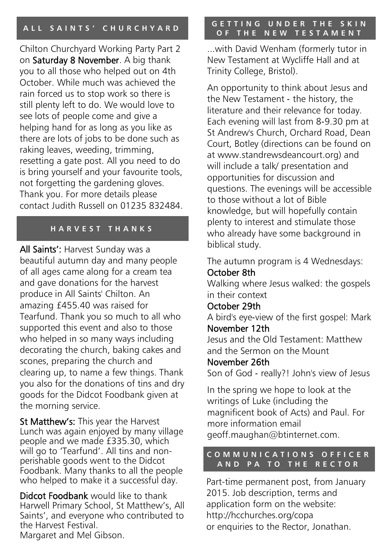Chilton Churchyard Working Party Part 2 on Saturday 8 November. A big thank you to all those who helped out on 4th October. While much was achieved the rain forced us to stop work so there is still plenty left to do. We would love to see lots of people come and give a helping hand for as long as you like as there are lots of jobs to be done such as raking leaves, weeding, trimming, resetting a gate post. All you need to do is bring yourself and your favourite tools, not forgetting the gardening gloves. Thank you. For more details please contact Judith Russell on 01235 832484.

#### **H A R V E S T T H A N K S**

All Saints': Harvest Sunday was a beautiful autumn day and many people of all ages came along for a cream tea and gave donations for the harvest produce in All Saints' Chilton. An amazing £455.40 was raised for Tearfund. Thank you so much to all who supported this event and also to those who helped in so many ways including decorating the church, baking cakes and scones, preparing the church and clearing up, to name a few things. Thank you also for the donations of tins and dry goods for the Didcot Foodbank given at the morning service.

St Matthew's: This year the Harvest Lunch was again enjoyed by many village people and we made £335.30, which will go to 'Tearfund'. All tins and nonperishable goods went to the Didcot Foodbank. Many thanks to all the people who helped to make it a successful day.

Didcot Foodbank would like to thank Harwell Primary School, St Matthew's, All Saints', and everyone who contributed to the Harvest Festival. Margaret and Mel Gibson.

#### **A L L S A I N T S ' C H U R C H Y A R D G E T T I N G U N D E R T H E S K I N O F T H E N E W T E S T A M E N T**

...with David Wenham (formerly tutor in New Testament at Wycliffe Hall and at Trinity College, Bristol).

An opportunity to think about Jesus and the New Testament ‐ the history, the literature and their relevance for today. Each evening will last from 8‐9.30 pm at St Andrew's Church, Orchard Road, Dean Court, Botley (directions can be found on at www.standrewsdeancourt.org) and will include a talk/ presentation and opportunities for discussion and questions. The evenings will be accessible to those without a lot of Bible knowledge, but will hopefully contain plenty to interest and stimulate those who already have some background in biblical study.

The autumn program is 4 Wednesdays: October 8th

Walking where Jesus walked: the gospels in their context

#### October 29th

A bird's eye‐view of the first gospel: Mark November 12th

Jesus and the Old Testament: Matthew and the Sermon on the Mount

November 26th

Son of God ‐ really?! John's view of Jesus

In the spring we hope to look at the writings of Luke (including the magnificent book of Acts) and Paul. For more information email geoff.maughan@btinternet.com.

#### **C O M M U N I C A T I O N S O F F I C E R A N D P A T O T H E R E C T O R**

Part-time permanent post, from January 2015. Job description, terms and application form on the website: http://hcchurches.org/copa or enquiries to the Rector, Jonathan.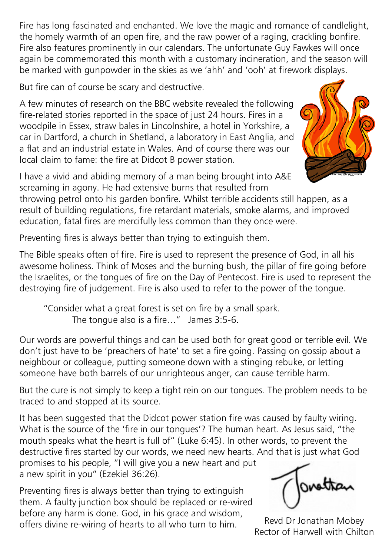Fire has long fascinated and enchanted. We love the magic and romance of candlelight, the homely warmth of an open fire, and the raw power of a raging, crackling bonfire. Fire also features prominently in our calendars. The unfortunate Guy Fawkes will once again be commemorated this month with a customary incineration, and the season will be marked with gunpowder in the skies as we 'ahh' and 'ooh' at firework displays.

But fire can of course be scary and destructive.

A few minutes of research on the BBC website revealed the following fire-related stories reported in the space of just 24 hours. Fires in a woodpile in Essex, straw bales in Lincolnshire, a hotel in Yorkshire, a car in Dartford, a church in Shetland, a laboratory in East Anglia, and a flat and an industrial estate in Wales. And of course there was our local claim to fame: the fire at Didcot B power station.

I have a vivid and abiding memory of a man being brought into A&E screaming in agony. He had extensive burns that resulted from



throwing petrol onto his garden bonfire. Whilst terrible accidents still happen, as a result of building regulations, fire retardant materials, smoke alarms, and improved education, fatal fires are mercifully less common than they once were.

Preventing fires is always better than trying to extinguish them.

The Bible speaks often of fire. Fire is used to represent the presence of God, in all his awesome holiness. Think of Moses and the burning bush, the pillar of fire going before the Israelites, or the tongues of fire on the Day of Pentecost. Fire is used to represent the destroying fire of judgement. Fire is also used to refer to the power of the tongue.

"Consider what a great forest is set on fire by a small spark. The tongue also is a fire…" James 3:5-6.

Our words are powerful things and can be used both for great good or terrible evil. We don't just have to be 'preachers of hate' to set a fire going. Passing on gossip about a neighbour or colleague, putting someone down with a stinging rebuke, or letting someone have both barrels of our unrighteous anger, can cause terrible harm.

But the cure is not simply to keep a tight rein on our tongues. The problem needs to be traced to and stopped at its source.

It has been suggested that the Didcot power station fire was caused by faulty wiring. What is the source of the 'fire in our tongues'? The human heart. As Jesus said, "the mouth speaks what the heart is full of" (Luke 6:45). In other words, to prevent the destructive fires started by our words, we need new hearts. And that is just what God promises to his people, "I will give you a new heart and put a new spirit in you" (Ezekiel 36:26).

Preventing fires is always better than trying to extinguish them. A faulty junction box should be replaced or re-wired before any harm is done. God, in his grace and wisdom, offers divine re-wiring of hearts to all who turn to him.

ovettan

Revd Dr Jonathan Mobey Rector of Harwell with Chilton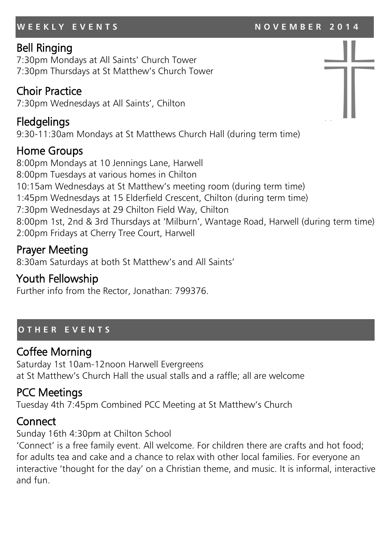#### **W E E K L Y E V E N T S N O V E M B E R 2 0 1 4**

### Bell Ringing

7:30pm Mondays at All Saints' Church Tower 7:30pm Thursdays at St Matthew's Church Tower

#### Choir Practice

7:30pm Wednesdays at All Saints', Chilton

# Fledgelings

9:30-11:30am Mondays at St Matthews Church Hall (during term time)

# Home Groups

8:00pm Mondays at 10 Jennings Lane, Harwell 8:00pm Tuesdays at various homes in Chilton 10:15am Wednesdays at St Matthew's meeting room (during term time) 1:45pm Wednesdays at 15 Elderfield Crescent, Chilton (during term time) 7:30pm Wednesdays at 29 Chilton Field Way, Chilton 8:00pm 1st, 2nd & 3rd Thursdays at 'Milburn', Wantage Road, Harwell (during term time) 2:00pm Fridays at Cherry Tree Court, Harwell

# Prayer Meeting

8:30am Saturdays at both St Matthew's and All Saints'

## Youth Fellowship

Further info from the Rector, Jonathan: 799376.

#### **O T H E R E V E N T S**

# Coffee Morning

Saturday 1st 10am-12noon Harwell Evergreens at St Matthew's Church Hall the usual stalls and a raffle; all are welcome

# PCC Meetings

Tuesday 4th 7:45pm Combined PCC Meeting at St Matthew's Church

# **Connect**

Sunday 16th 4:30pm at Chilton School

'Connect' is a free family event. All welcome. For children there are crafts and hot food; for adults tea and cake and a chance to relax with other local families. For everyone an interactive 'thought for the day' on a Christian theme, and music. It is informal, interactive and fun.

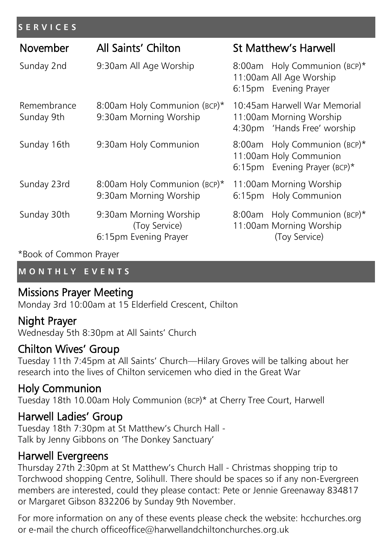#### **S E R V I C E S**

| November                  | All Saints' Chilton                                              | <b>St Matthew's Harwell</b>                                                            |
|---------------------------|------------------------------------------------------------------|----------------------------------------------------------------------------------------|
| Sunday 2nd                | 9:30am All Age Worship                                           | 8:00am Holy Communion (BCP)*<br>11:00am All Age Worship<br>6:15pm Evening Prayer       |
| Remembrance<br>Sunday 9th | 8:00am Holy Communion (BCP)*<br>9:30am Morning Worship           | 10:45am Harwell War Memorial<br>11:00am Morning Worship<br>4:30pm 'Hands Free' worship |
| Sunday 16th               | 9:30am Holy Communion                                            | 8:00am Holy Communion (BCP)*<br>11:00am Holy Communion<br>6:15pm Evening Prayer (BCP)* |
| Sunday 23rd               | 8:00am Holy Communion (BCP)*<br>9:30am Morning Worship           | 11:00am Morning Worship<br><b>Holy Communion</b><br>6:15pm                             |
| Sunday 30th               | 9:30am Morning Worship<br>(Toy Service)<br>6:15pm Evening Prayer | Holy Communion (BCP)*<br>8:00am<br>11:00am Morning Worship<br>(Toy Service)            |

\*Book of Common Prayer

#### **M O N T H L Y E V E N T S**

### Missions Prayer Meeting

Monday 3rd 10:00am at 15 Elderfield Crescent, Chilton

### Night Prayer

Wednesday 5th 8:30pm at All Saints' Church

#### Chilton Wives' Group

Tuesday 11th 7:45pm at All Saints' Church—Hilary Groves will be talking about her research into the lives of Chilton servicemen who died in the Great War

# Holy Communion

Tuesday 18th 10.00am Holy Communion (BCP)\* at Cherry Tree Court, Harwell

### Harwell Ladies' Group

Tuesday 18th 7:30pm at St Matthew's Church Hall - Talk by Jenny Gibbons on 'The Donkey Sanctuary'

### Harwell Evergreens

Thursday 27th 2:30pm at St Matthew's Church Hall - Christmas shopping trip to Torchwood shopping Centre, Solihull. There should be spaces so if any non-Evergreen members are interested, could they please contact: Pete or Jennie Greenaway 834817 or Margaret Gibson 832206 by Sunday 9th November.

For more information on any of these events please check the website: hcchurches.org or e-mail the church officeoffice@harwellandchiltonchurches.org.uk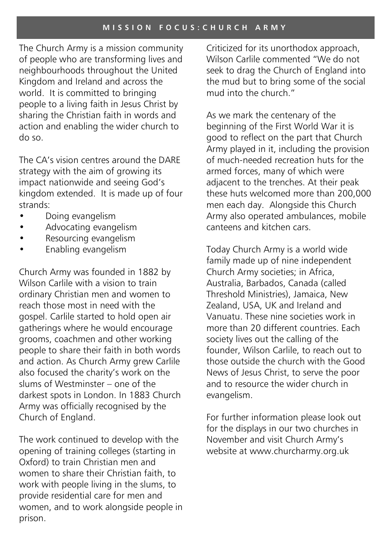The Church Army is a mission community of people who are transforming lives and neighbourhoods throughout the United Kingdom and Ireland and across the world. It is committed to bringing people to a living faith in Jesus Christ by sharing the Christian faith in words and action and enabling the wider church to do so.

The CA's vision centres around the DARE strategy with the aim of growing its impact nationwide and seeing God's kingdom extended. It is made up of four strands:

- Doing evangelism
- Advocating evangelism
- Resourcing evangelism
- Enabling evangelism

Church Army was founded in 1882 by Wilson Carlile with a vision to train ordinary Christian men and women to reach those most in need with the gospel. Carlile started to hold open air gatherings where he would encourage grooms, coachmen and other working people to share their faith in both words and action. As Church Army grew Carlile also focused the charity's work on the slums of Westminster – one of the darkest spots in London. In 1883 Church Army was officially recognised by the Church of England.

The work continued to develop with the opening of training colleges (starting in Oxford) to train Christian men and women to share their Christian faith, to work with people living in the slums, to provide residential care for men and women, and to work alongside people in prison.

Criticized for its unorthodox approach, Wilson Carlile commented "We do not seek to drag the Church of England into the mud but to bring some of the social mud into the church."

As we mark the centenary of the beginning of the First World War it is good to reflect on the part that Church Army played in it, including the provision of much-needed recreation huts for the armed forces, many of which were adjacent to the trenches. At their peak these huts welcomed more than 200,000 men each day. Alongside this Church Army also operated ambulances, mobile canteens and kitchen cars.

Today Church Army is a world wide family made up of nine independent Church Army societies; in Africa, Australia, Barbados, Canada (called Threshold Ministries), Jamaica, New Zealand, USA, UK and Ireland and Vanuatu. These nine societies work in more than 20 different countries. Each society lives out the calling of the founder, Wilson Carlile, to reach out to those outside the church with the Good News of Jesus Christ, to serve the poor and to resource the wider church in evangelism.

For further information please look out for the displays in our two churches in November and visit Church Army's website at www.churcharmy.org.uk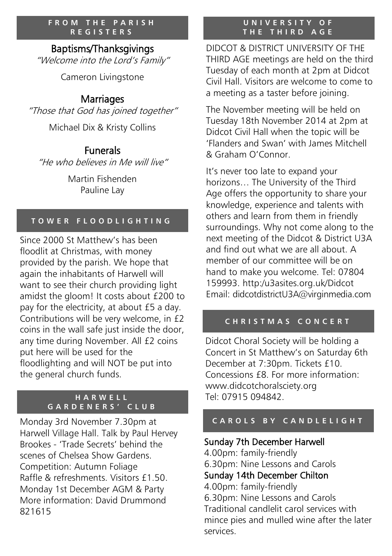#### **FROM THE PARISH R E G I S T E R S**

#### Baptisms/Thanksgivings

"Welcome into the Lord's Family"

Cameron Livingstone

# **Marriages**

"Those that God has joined together"

Michael Dix & Kristy Collins

#### Funerals

"He who believes in Me will live"

Martin Fishenden Pauline Lay

#### **T O W E R F L O O D L I G H T I N G**

Since 2000 St Matthew's has been floodlit at Christmas, with money provided by the parish. We hope that again the inhabitants of Harwell will want to see their church providing light amidst the gloom! It costs about £200 to pay for the electricity, at about £5 a day. Contributions will be very welcome, in £2 coins in the wall safe just inside the door, any time during November. All £2 coins put here will be used for the floodlighting and will NOT be put into the general church funds.

#### **H A R W E L L G A R D E N E R S ' C L U B**

Monday 3rd November 7.30pm at Harwell Village Hall. Talk by Paul Hervey Brookes - 'Trade Secrets' behind the scenes of Chelsea Show Gardens. Competition: Autumn Foliage Raffle & refreshments. Visitors £1.50. Monday 1st December AGM & Party More information: David Drummond 821615

#### **U N I V E R S I T Y O F T H E T H I R D A G E**

DIDCOT & DISTRICT UNIVERSITY OF THE THIRD AGE meetings are held on the third Tuesday of each month at 2pm at Didcot Civil Hall. Visitors are welcome to come to a meeting as a taster before joining.

The November meeting will be held on Tuesday 18th November 2014 at 2pm at Didcot Civil Hall when the topic will be 'Flanders and Swan' with James Mitchell & Graham O'Connor.

It's never too late to expand your horizons… The University of the Third Age offers the opportunity to share your knowledge, experience and talents with others and learn from them in friendly surroundings. Why not come along to the next meeting of the Didcot & District U3A and find out what we are all about. A member of our committee will be on hand to make you welcome. Tel: 07804 159993. http:/u3asites.org.uk/Didcot Email: didcotdistrictU3A@virginmedia.com **F R O M** THE P A R I S H<br> **REQUARISTY OF THE R SECTIVE DURING THE RESULT OF THE THIRD A G E<br>
<b>Baptisms/Thanksgivings**<br>
Come into the Lord's Family"<br>
Come into the Lord's Family"<br>
THE THIRD AGE metaling this Action are we

#### **C H R I S T M A S C O N C E R T**

Didcot Choral Society will be holding a Concert in St Matthew's on Saturday 6th December at 7:30pm. Tickets £10. Concessions £8. For more information: www.didcotchoralsciety.org Tel: 07915 094842.

### Sunday 7th December Harwell

4.00pm: family-friendly 6.30pm: Nine Lessons and Carols Sunday 14th December Chilton 4.00pm: family-friendly 6.30pm: Nine Lessons and Carols

Traditional candlelit carol services with mince pies and mulled wine after the later services.